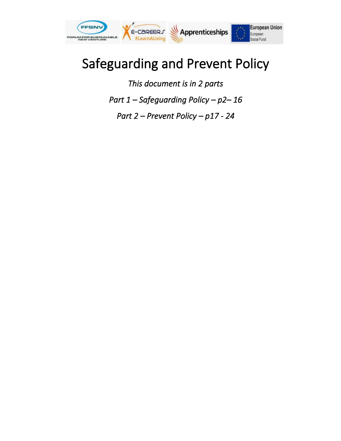

# Safeguarding and Prevent Policy

*This document is in 2 parts Part 1 – Safeguarding Policy – p2– 16 Part 2 – Prevent Policy – p17 - 24*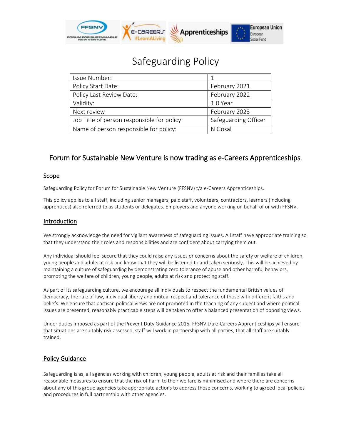

# Safeguarding Policy

| Issue Number:                               |                      |
|---------------------------------------------|----------------------|
| Policy Start Date:                          | February 2021        |
| Policy Last Review Date:                    | February 2022        |
| Validity:                                   | 1.0 Year             |
| Next review                                 | February 2023        |
| Job Title of person responsible for policy: | Safeguarding Officer |
| Name of person responsible for policy:      | N Gosal              |

# Forum for Sustainable New Venture is now trading as e-Careers Apprenticeships.

# Scope

Safeguarding Policy for Forum for Sustainable New Venture (FFSNV) t/a e-Careers Apprenticeships.

This policy applies to all staff, including senior managers, paid staff, volunteers, contractors, learners (including apprentices) also referred to as students or delegates. Employers and anyone working on behalf of or with FFSNV.

# Introduction

We strongly acknowledge the need for vigilant awareness of safeguarding issues. All staff have appropriate training so that they understand their roles and responsibilities and are confident about carrying them out.

Any individual should feel secure that they could raise any issues or concerns about the safety or welfare of children, young people and adults at risk and know that they will be listened to and taken seriously. This will be achieved by maintaining a culture of safeguarding by demonstrating zero tolerance of abuse and other harmful behaviors, promoting the welfare of children, young people, adults at risk and protecting staff.

As part of its safeguarding culture, we encourage all individuals to respect the fundamental British values of democracy, the rule of law, individual liberty and mutual respect and tolerance of those with different faiths and beliefs. We ensure that partisan political views are not promoted in the teaching of any subject and where political issues are presented, reasonably practicable steps will be taken to offer a balanced presentation of opposing views.

Under duties imposed as part of the Prevent Duty Guidance 2015, FFSNV t/a e-Careers Apprenticeships will ensure that situations are suitably risk assessed, staff will work in partnership with all parties, that all staff are suitably trained.

# Policy Guidance

Safeguarding is as, all agencies working with children, young people, adults at risk and their families take all reasonable measures to ensure that the risk of harm to their welfare is minimised and where there are concerns about any of this group agencies take appropriate actions to address those concerns, working to agreed local policies and procedures in full partnership with other agencies.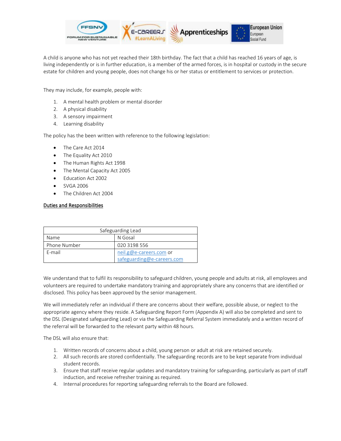

A child is anyone who has not yet reached their 18th birthday. The fact that a child has reached 16 years of age, is living independently or is in further education, is a member of the armed forces, is in hospital or custody in the secure estate for children and young people, does not change his or her status or entitlement to services or protection.

They may include, for example, people with:

- 1. A mental health problem or mental disorder
- 2. A physical disability
- 3. A sensory impairment
- 4. Learning disability

The policy has the been written with reference to the following legislation:

- The Care Act 2014
- The Equality Act 2010
- The Human Rights Act 1998
- The Mental Capacity Act 2005
- Education Act 2002
- SVGA 2006
- The Children Act 2004

# Duties and Responsibilities

| Safeguarding Lead          |                         |  |
|----------------------------|-------------------------|--|
| Name                       | N Gosal                 |  |
| Phone Number               | 020 3198 556            |  |
| F-mail                     | neil.g@e-careers.com or |  |
| safeguarding@e-careers.com |                         |  |

We understand that to fulfil its responsibility to safeguard children, young people and adults at risk, all employees and volunteers are required to undertake mandatory training and appropriately share any concerns that are identified or disclosed. This policy has been approved by the senior management.

We will immediately refer an individual if there are concerns about their welfare, possible abuse, or neglect to the appropriate agency where they reside. A Safeguarding Report Form (Appendix A) will also be completed and sent to the DSL (Designated safeguarding Lead) or via the Safeguarding Referral System immediately and a written record of the referral will be forwarded to the relevant party within 48 hours.

The DSL will also ensure that:

- 1. Written records of concerns about a child, young person or adult at risk are retained securely.
- 2. All such records are stored confidentially. The safeguarding records are to be kept separate from individual student records.
- 3. Ensure that staff receive regular updates and mandatory training for safeguarding, particularly as part of staff induction, and receive refresher training as required.
- 4. Internal procedures for reporting safeguarding referrals to the Board are followed.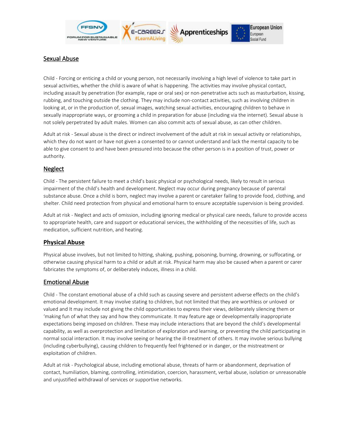

# Sexual Abuse

Child - Forcing or enticing a child or young person, not necessarily involving a high level of violence to take part in sexual activities, whether the child is aware of what is happening. The activities may involve physical contact, including assault by penetration (for example, rape or oral sex) or non-penetrative acts such as masturbation, kissing, rubbing, and touching outside the clothing. They may include non-contact activities, such as involving children in looking at, or in the production of, sexual images, watching sexual activities, encouraging children to behave in sexually inappropriate ways, or grooming a child in preparation for abuse (including via the internet). Sexual abuse is not solely perpetrated by adult males. Women can also commit acts of sexual abuse, as can other children.

Adult at risk - Sexual abuse is the direct or indirect involvement of the adult at risk in sexual activity or relationships, which they do not want or have not given a consented to or cannot understand and lack the mental capacity to be able to give consent to and have been pressured into because the other person is in a position of trust, power or authority.

# **Neglect**

Child - The persistent failure to meet a child's basic physical or psychological needs, likely to result in serious impairment of the child's health and development. Neglect may occur during pregnancy because of parental substance abuse. Once a child is born, neglect may involve a parent or caretaker failing to provide food, clothing, and shelter. Child need protection from physical and emotional harm to ensure acceptable supervision is being provided.

Adult at risk - Neglect and acts of omission, including ignoring medical or physical care needs, failure to provide access to appropriate health, care and support or educational services, the withholding of the necessities of life, such as medication, sufficient nutrition, and heating.

# **Physical Abuse**

Physical abuse involves, but not limited to hitting, shaking, pushing, poisoning, burning, drowning, or suffocating, or otherwise causing physical harm to a child or adult at risk. Physical harm may also be caused when a parent or carer fabricates the symptoms of, or deliberately induces, illness in a child.

# Emotional Abuse

Child - The constant emotional abuse of a child such as causing severe and persistent adverse effects on the child's emotional development. It may involve stating to children, but not limited that they are worthless or unloved or valued and It may include not giving the child opportunities to express their views, deliberately silencing them or 'making fun of what they say and how they communicate. It may feature age or developmentally inappropriate expectations being imposed on children. These may include interactions that are beyond the child's developmental capability, as well as overprotection and limitation of exploration and learning, or preventing the child participating in normal social interaction. It may involve seeing or hearing the ill-treatment of others. It may involve serious bullying (including cyberbullying), causing children to frequently feel frightened or in danger, or the mistreatment or exploitation of children.

Adult at risk - Psychological abuse, including emotional abuse, threats of harm or abandonment, deprivation of contact, humiliation, blaming, controlling, intimidation, coercion, harassment, verbal abuse, isolation or unreasonable and unjustified withdrawal of services or supportive networks.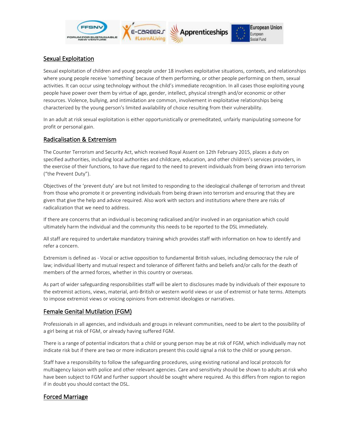

# Sexual Exploitation

Sexual exploitation of children and young people under 18 involves exploitative situations, contexts, and relationships where young people receive 'something' because of them performing, or other people performing on them, sexual activities. It can occur using technology without the child's immediate recognition. In all cases those exploiting young people have power over them by virtue of age, gender, intellect, physical strength and/or economic or other resources. Violence, bullying, and intimidation are common, involvement in exploitative relationships being characterized by the young person's limited availability of choice resulting from their vulnerability.

In an adult at risk sexual exploitation is either opportunistically or premeditated, unfairly manipulating someone for profit or personal gain.

# Radicalisation & Extremism

The Counter Terrorism and Security Act, which received Royal Assent on 12th February 2015, places a duty on specified authorities, including local authorities and childcare, education, and other children's services providers, in the exercise of their functions, to have due regard to the need to prevent individuals from being drawn into terrorism ("the Prevent Duty").

Objectives of the 'prevent duty' are but not limited to responding to the ideological challenge of terrorism and threat from those who promote it or preventing individuals from being drawn into terrorism and ensuring that they are given that give the help and advice required. Also work with sectors and institutions where there are risks of radicalization that we need to address.

If there are concerns that an individual is becoming radicalised and/or involved in an organisation which could ultimately harm the individual and the community this needs to be reported to the DSL immediately.

All staff are required to undertake mandatory training which provides staff with information on how to identify and refer a concern.

Extremism is defined as - Vocal or active opposition to fundamental British values, including democracy the rule of law; individual liberty and mutual respect and tolerance of different faiths and beliefs and/or calls for the death of members of the armed forces, whether in this country or overseas.

As part of wider safeguarding responsibilities staff will be alert to disclosures made by individuals of their exposure to the extremist actions, views, material, anti-British or western world views or use of extremist or hate terms. Attempts to impose extremist views or voicing opinions from extremist ideologies or narratives.

# Female Genital Mutilation (FGM)

Professionals in all agencies, and individuals and groups in relevant communities, need to be alert to the possibility of a girl being at risk of FGM, or already having suffered FGM.

There is a range of potential indicators that a child or young person may be at risk of FGM, which individually may not indicate risk but if there are two or more indicators present this could signal a risk to the child or young person.

Staff have a responsibility to follow the safeguarding procedures, using existing national and local protocols for multiagency liaison with police and other relevant agencies. Care and sensitivity should be shown to adults at risk who have been subject to FGM and further support should be sought where required. As this differs from region to region if in doubt you should contact the DSL.

# Forced Marriage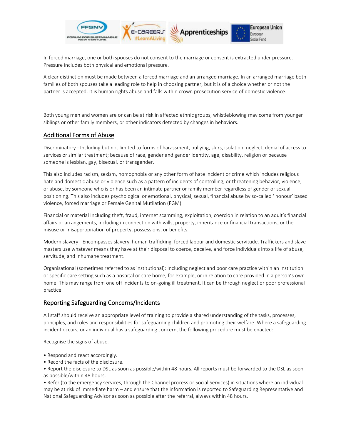

In forced marriage, one or both spouses do not consent to the marriage or consent is extracted under pressure. Pressure includes both physical and emotional pressure.

A clear distinction must be made between a forced marriage and an arranged marriage. In an arranged marriage both families of both spouses take a leading role to help in choosing partner, but it is of a choice whether or not the partner is accepted. It is human rights abuse and falls within crown prosecution service of domestic violence.

Both young men and women are or can be at risk in affected ethnic groups, whistleblowing may come from younger siblings or other family members, or other indicators detected by changes in behaviors.

# Additional Forms of Abuse

Discriminatory - Including but not limited to forms of harassment, bullying, slurs, isolation, neglect, denial of access to services or similar treatment; because of race, gender and gender identity, age, disability, religion or because someone is lesbian, gay, bisexual, or transgender.

This also includes racism, sexism, homophobia or any other form of hate incident or crime which includes religious hate and domestic abuse or violence such as a pattern of incidents of controlling, or threatening behavior, violence, or abuse, by someone who is or has been an intimate partner or family member regardless of gender or sexual positioning. This also includes psychological or emotional, physical, sexual, financial abuse by so-called ' honour' based violence, forced marriage or Female Genital Mutilation (FGM).

Financial or material Including theft, fraud, internet scamming, exploitation, coercion in relation to an adult's financial affairs or arrangements, including in connection with wills, property, inheritance or financial transactions, or the misuse or misappropriation of property, possessions, or benefits.

Modern slavery - Encompasses slavery, human trafficking, forced labour and domestic servitude. Traffickers and slave masters use whatever means they have at their disposal to coerce, deceive, and force individuals into a life of abuse, servitude, and inhumane treatment.

Organisational (sometimes referred to as institutional): Including neglect and poor care practice within an institution or specific care setting such as a hospital or care home, for example, or in relation to care provided in a person's own home. This may range from one off incidents to on-going ill treatment. It can be through neglect or poor professional practice.

# Reporting Safeguarding Concerns/Incidents

All staff should receive an appropriate level of training to provide a shared understanding of the tasks, processes, principles, and roles and responsibilities for safeguarding children and promoting their welfare. Where a safeguarding incident occurs, or an individual has a safeguarding concern, the following procedure must be enacted:

Recognise the signs of abuse.

- Respond and react accordingly.
- Record the facts of the disclosure.

• Report the disclosure to DSL as soon as possible/within 48 hours. All reports must be forwarded to the DSL as soon as possible/within 48 hours.

• Refer (to the emergency services, through the Channel process or Social Services) in situations where an individual may be at risk of immediate harm – and ensure that the information is reported to Safeguarding Representative and National Safeguarding Advisor as soon as possible after the referral, always within 48 hours.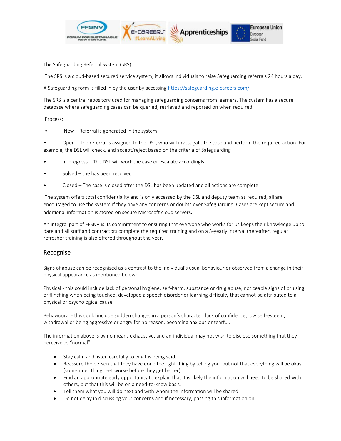

#### The Safeguarding Referral System (SRS)

The SRS is a cloud-based secured service system; it allows individuals to raise Safeguarding referrals 24 hours a day.

A Safeguarding form is filled in by the user by accessing<https://safeguarding.e-careers.com/>

The SRS is a central repository used for managing safeguarding concerns from learners. The system has a secure database where safeguarding cases can be queried, retrieved and reported on when required.

#### Process:

New - Referral is generated in the system

• Open – The referral is assigned to the DSL, who will investigate the case and perform the required action. For example, the DSL will check, and accept/reject based on the criteria of Safeguarding

- In-progress The DSL will work the case or escalate accordingly
- Solved the has been resolved
- Closed The case is closed after the DSL has been updated and all actions are complete.

The system offers total confidentiality and is only accessed by the DSL and deputy team as required, all are encouraged to use the system if they have any concerns or doubts over Safeguarding. Cases are kept secure and additional information is stored on secure Microsoft cloud servers.

An integral part of FFSNV is its commitment to ensuring that everyone who works for us keeps their knowledge up to date and all staff and contractors complete the required training and on a 3-yearly interval thereafter, regular refresher training is also offered throughout the year.

# Recognise

Signs of abuse can be recognised as a contrast to the individual's usual behaviour or observed from a change in their physical appearance as mentioned below:

Physical - this could include lack of personal hygiene, self-harm, substance or drug abuse, noticeable signs of bruising or flinching when being touched, developed a speech disorder or learning difficulty that cannot be attributed to a physical or psychological cause.

Behavioural - this could include sudden changes in a person's character, lack of confidence, low self-esteem, withdrawal or being aggressive or angry for no reason, becoming anxious or tearful.

The information above is by no means exhaustive, and an individual may not wish to disclose something that they perceive as "normal".

- Stay calm and listen carefully to what is being said.
- Reassure the person that they have done the right thing by telling you, but not that everything will be okay (sometimes things get worse before they get better)
- Find an appropriate early opportunity to explain that it is likely the information will need to be shared with others, but that this will be on a need-to-know basis.
- Tell them what you will do next and with whom the information will be shared.
- Do not delay in discussing your concerns and if necessary, passing this information on.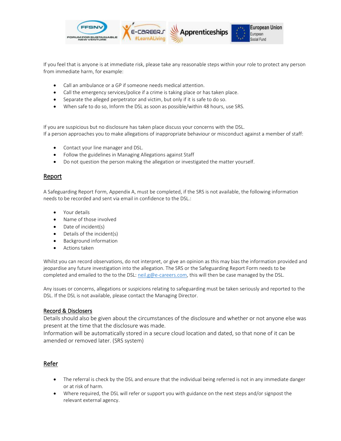

If you feel that is anyone is at immediate risk, please take any reasonable steps within your role to protect any person from immediate harm, for example:

- Call an ambulance or a GP if someone needs medical attention.
- Call the emergency services/police if a crime is taking place or has taken place.
- Separate the alleged perpetrator and victim, but only if it is safe to do so.
- When safe to do so, Inform the DSL as soon as possible/within 48 hours, use SRS.

If you are suspicious but no disclosure has taken place discuss your concerns with the DSL. If a person approaches you to make allegations of inappropriate behaviour or misconduct against a member of staff:

- Contact your line manager and DSL.
- Follow the guidelines in Managing Allegations against Staff
- Do not question the person making the allegation or investigated the matter yourself.

# Report

A Safeguarding Report Form, Appendix A, must be completed, if the SRS is not available, the following information needs to be recorded and sent via email in confidence to the DSL.:

- Your details
- Name of those involved
- Date of incident(s)
- Details of the incident(s)
- Background information
- Actions taken

Whilst you can record observations, do not interpret, or give an opinion as this may bias the information provided and jeopardise any future investigation into the allegation. The SRS or the Safeguarding Report Form needs to be completed and emailed to the to the DSL[: neil.g@e-careers.com,](mailto:neil.g@e-careers.com) this will then be case managed by the DSL.

Any issues or concerns, allegations or suspicions relating to safeguarding must be taken seriously and reported to the DSL. If the DSL is not available, please contact the Managing Director.

# Record & Disclosers

Details should also be given about the circumstances of the disclosure and whether or not anyone else was present at the time that the disclosure was made.

Information will be automatically stored in a secure cloud location and dated, so that none of it can be amended or removed later. (SRS system)

# Refer

- The referral is check by the DSL and ensure that the individual being referred is not in any immediate danger or at risk of harm.
- Where required, the DSL will refer or support you with guidance on the next steps and/or signpost the relevant external agency.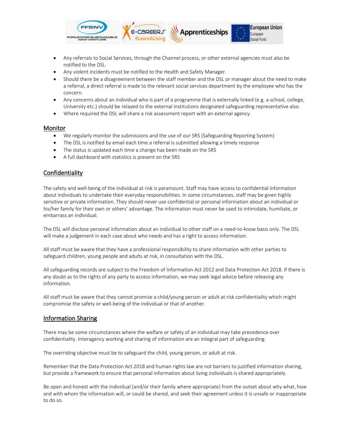

- Any referrals to Social Services, through the Channel process, or other external agencies must also be notified to the DSL.
- Any violent incidents must be notified to the Health and Safety Manager.
- Should there be a disagreement between the staff member and the DSL or manager about the need to make a referral, a direct referral is made to the relevant social services department by the employee who has the concern.
- Any concerns about an individual who is part of a programme that is externally linked (e.g. a school, college, University etc.) should be relayed to the external institutions designated safeguarding representative also.
- Where required the DSL will share a risk assessment report with an external agency.

#### Monitor

- We regularly monitor the submissions and the use of our SRS (Safeguarding Reporting System)
- The DSL is notified by email each time a referral is submitted allowing a timely response
- The status is updated each time a change has been made on the SRS
- A full dashboard with statistics is present on the SRS

# Confidentiality

The safety and well-being of the individual at risk is paramount. Staff may have access to confidential information about individuals to undertake their everyday responsibilities. In some circumstances, staff may be given highly sensitive or private information. They should never use confidential or personal information about an individual or his/her family for their own or others' advantage. The information must never be used to intimidate, humiliate, or embarrass an individual.

The DSL will disclose personal information about an individual to other staff on a need-to-know basis only. The DSL will make a judgement in each case about who needs and has a right to access information.

All staff must be aware that they have a professional responsibility to share information with other parties to safeguard children, young people and adults at risk, in consultation with the DSL.

All safeguarding records are subject to the Freedom of Information Act 2012 and Data Protection Act 2018. If there is any doubt as to the rights of any party to access information, we may seek legal advice before releasing any information.

All staff must be aware that they cannot promise a child/young person or adult at risk confidentiality which might compromise the safety or well-being of the individual or that of another.

# Information Sharing

There may be some circumstances where the welfare or safety of an individual may take precedence over confidentiality. Interagency working and sharing of information are an integral part of safeguarding.

The overriding objective must be to safeguard the child, young person, or adult at risk.

Remember that the Data Protection Act 2018 and human rights law are not barriers to justified information sharing, but provide a framework to ensure that personal information about living individuals is shared appropriately.

Be open and honest with the individual (and/or their family where appropriate) from the outset about why what, how and with whom the information will, or could be shared, and seek their agreement unless it is unsafe or inappropriate to do so.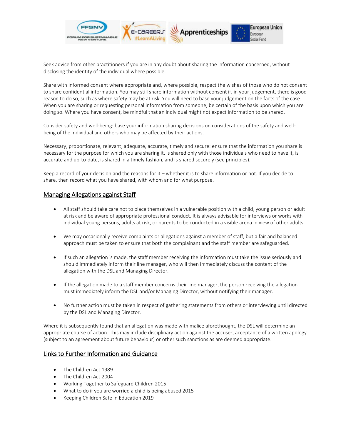

Seek advice from other practitioners if you are in any doubt about sharing the information concerned, without disclosing the identity of the individual where possible.

Share with informed consent where appropriate and, where possible, respect the wishes of those who do not consent to share confidential information. You may still share information without consent if, in your judgement, there is good reason to do so, such as where safety may be at risk. You will need to base your judgement on the facts of the case. When you are sharing or requesting personal information from someone, be certain of the basis upon which you are doing so. Where you have consent, be mindful that an individual might not expect information to be shared.

Consider safety and well-being: base your information sharing decisions on considerations of the safety and wellbeing of the individual and others who may be affected by their actions.

Necessary, proportionate, relevant, adequate, accurate, timely and secure: ensure that the information you share is necessary for the purpose for which you are sharing it, is shared only with those individuals who need to have it, is accurate and up-to-date, is shared in a timely fashion, and is shared securely (see principles).

Keep a record of your decision and the reasons for it – whether it is to share information or not. If you decide to share, then record what you have shared, with whom and for what purpose.

# Managing Allegations against Staff

- All staff should take care not to place themselves in a vulnerable position with a child, young person or adult at risk and be aware of appropriate professional conduct. It is always advisable for interviews or works with individual young persons, adults at risk, or parents to be conducted in a visible arena in view of other adults.
- We may occasionally receive complaints or allegations against a member of staff, but a fair and balanced approach must be taken to ensure that both the complainant and the staff member are safeguarded.
- If such an allegation is made, the staff member receiving the information must take the issue seriously and should immediately inform their line manager, who will then immediately discuss the content of the allegation with the DSL and Managing Director.
- If the allegation made to a staff member concerns their line manager, the person receiving the allegation must immediately inform the DSL and/or Managing Director, without notifying their manager.
- No further action must be taken in respect of gathering statements from others or interviewing until directed by the DSL and Managing Director.

Where it is subsequently found that an allegation was made with malice aforethought, the DSL will determine an appropriate course of action. This may include disciplinary action against the accuser, acceptance of a written apology (subject to an agreement about future behaviour) or other such sanctions as are deemed appropriate.

# Links to Further Information and Guidance

- The Children Act 1989
- The Children Act 2004
- Working Together to Safeguard Children 2015
- What to do if you are worried a child is being abused 2015
- Keeping Children Safe in Education 2019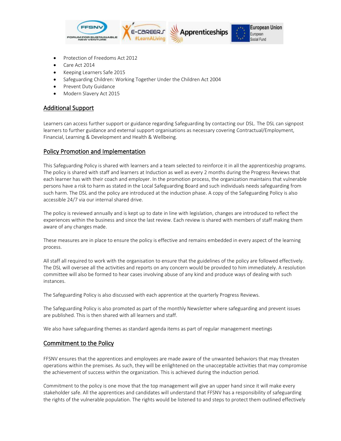

- Protection of Freedoms Act 2012
- Care Act 2014
- Keeping Learners Safe 2015
- Safeguarding Children: Working Together Under the Children Act 2004
- Prevent Duty Guidance
- Modern Slavery Act 2015

# Additional Support

Learners can access further support or guidance regarding Safeguarding by contacting our DSL. The DSL can signpost learners to further guidance and external support organisations as necessary covering Contractual/Employment, Financial, Learning & Development and Health & Wellbeing.

# Policy Promotion and Implementation

This Safeguarding Policy is shared with learners and a team selected to reinforce it in all the apprenticeship programs. The policy is shared with staff and learners at Induction as well as every 2 months during the Progress Reviews that each learner has with their coach and employer. In the promotion process, the organization maintains that vulnerable persons have a risk to harm as stated in the Local Safeguarding Board and such individuals needs safeguarding from such harm. The DSL and the policy are introduced at the induction phase. A copy of the Safeguarding Policy is also accessible 24/7 via our internal shared drive.

The policy is reviewed annually and is kept up to date in line with legislation, changes are introduced to reflect the experiences within the business and since the last review. Each review is shared with members of staff making them aware of any changes made.

These measures are in place to ensure the policy is effective and remains embedded in every aspect of the learning process.

All staff all required to work with the organisation to ensure that the guidelines of the policy are followed effectively. The DSL will oversee all the activities and reports on any concern would be provided to him immediately. A resolution committee will also be formed to hear cases involving abuse of any kind and produce ways of dealing with such instances.

The Safeguarding Policy is also discussed with each apprentice at the quarterly Progress Reviews.

The Safeguarding Policy is also promoted as part of the monthly Newsletter where safeguarding and prevent issues are published. This is then shared with all learners and staff.

We also have safeguarding themes as standard agenda items as part of regular management meetings

# Commitment to the Policy

FFSNV ensures that the apprentices and employees are made aware of the unwanted behaviors that may threaten operations within the premises. As such, they will be enlightened on the unacceptable activities that may compromise the achievement of success within the organization. This is achieved during the induction period.

Commitment to the policy is one move that the top management will give an upper hand since it will make every stakeholder safe. All the apprentices and candidates will understand that FFSNV has a responsibility of safeguarding the rights of the vulnerable population. The rights would be listened to and steps to protect them outlined effectively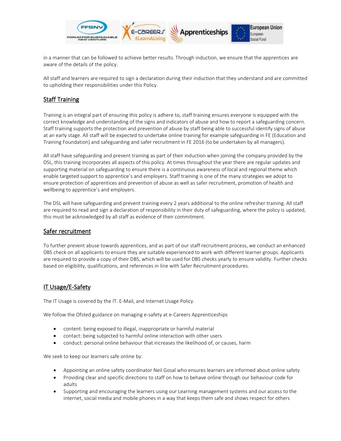

in a manner that can be followed to achieve better results. Through induction, we ensure that the apprentices are aware of the details of the policy.

All staff and learners are required to sign a declaration during their induction that they understand and are committed to upholding their responsibilities under this Policy.

# Staff Training

Training is an integral part of ensuring this policy is adhere to, staff training ensures everyone is equipped with the correct knowledge and understanding of the signs and indicators of abuse and how to report a safeguarding concern. Staff training supports the protection and prevention of abuse by staff being able to successful identify signs of abuse at an early stage. All staff will be expected to undertake online training for example safeguarding in FE (Education and Training Foundation) and safeguarding and safer recruitment in FE 2016 (to be undertaken by all managers).

All staff have safeguarding and prevent training as part of their induction when joining the company provided by the DSL, this training incorporates all aspects of this policy. At times throughout the year there are regular updates and supporting material on safeguarding to ensure there is a continuous awareness of local and regional theme which enable targeted support to apprentice's and employers. Staff training is one of the many strategies we adopt to ensure protection of apprentices and prevention of abuse as well as safer recruitment, promotion of health and wellbeing to apprentice's and employers.

The DSL will have safeguarding and prevent training every 2 years additional to the online refresher training. All staff are required to read and sign a declaration of responsibility in their duty of safeguarding, where the policy is updated, this must be acknowledged by all staff as evidence of their commitment.

# Safer recruitment

To further prevent abuse towards apprentices, and as part of our staff recruitment process, we conduct an enhanced DBS check on all applicants to ensure they are suitable experienced to work with different learner groups. Applicants are required to provide a copy of their DBS, which will be used for DBS checks yearly to ensure validity. Further checks based on eligibility, qualifications, and references in line with Safer Recruitment procedures.

# IT Usage/E-Safety

The IT Usage is covered by the IT. E-Mail, and Internet Usage Policy.

We follow the Ofsted guidance on managing e-safety at e-Careers Apprenticeships

- content: being exposed to illegal, inappropriate or harmful material
- contact: being subjected to harmful online interaction with other users
- conduct: personal online behaviour that increases the likelihood of, or causes, harm

We seek to keep our learners safe online by:

- Appointing an online safety coordinator Neil Gosal who ensures learners are informed about online safety
- Providing clear and specific directions to staff on how to behave online through our behaviour code for adults
- Supporting and encouraging the learners using our Learning management systems and our access to the internet, social media and mobile phones in a way that keeps them safe and shows respect for others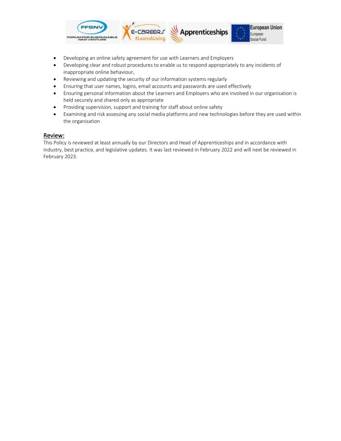

- Developing an online safety agreement for use with Learners and Employers
- Developing clear and robust procedures to enable us to respond appropriately to any incidents of inappropriate online behaviour,
- Reviewing and updating the security of our information systems regularly
- Ensuring that user names, logins, email accounts and passwords are used effectively
- Ensuring personal information about the Learners and Employers who are involved in our organisation is held securely and shared only as appropriate
- Providing supervision, support and training for staff about online safety
- Examining and risk assessing any social media platforms and new technologies before they are used within the organisation

#### Review:

This Policy is reviewed at least annually by our Directors and Head of Apprenticeships and in accordance with industry, best practice, and legislative updates. It was last reviewed in February 2022 and will next be reviewed in February 2023.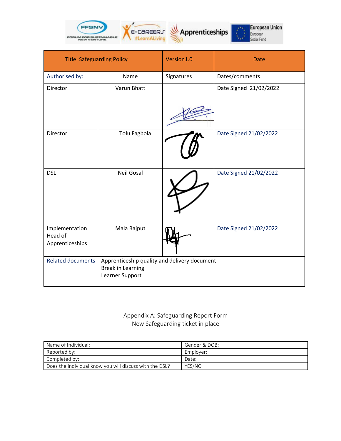

| <b>Title: Safeguarding Policy</b>            |                                                                                             | Version1.0 | <b>Date</b>            |
|----------------------------------------------|---------------------------------------------------------------------------------------------|------------|------------------------|
| Authorised by:                               | Name                                                                                        | Signatures | Dates/comments         |
| Director                                     | Varun Bhatt                                                                                 |            | Date Signed 21/02/2022 |
| Director                                     | Tolu Fagbola                                                                                |            | Date Signed 21/02/2022 |
| <b>DSL</b>                                   | <b>Neil Gosal</b>                                                                           |            | Date Signed 21/02/2022 |
| Implementation<br>Head of<br>Apprenticeships | Mala Rajput                                                                                 |            | Date Signed 21/02/2022 |
| <b>Related documents</b>                     | Apprenticeship quality and delivery document<br><b>Break in Learning</b><br>Learner Support |            |                        |

# Appendix A: Safeguarding Report Form New Safeguarding ticket in place

| Name of Individual:                                     | Gender & DOB: |
|---------------------------------------------------------|---------------|
| Reported by:                                            | Emplover:     |
| $\mathsf I$ Completed by:                               | Date:         |
| Does the individual know you will discuss with the DSL? | YES/NO        |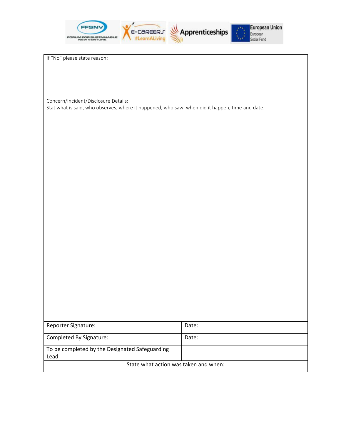

If "No" please state reason:

Concern/Incident/Disclosure Details:

Stat what is said, who observes, where it happened, who saw, when did it happen, time and date.

| Reporter Signature:                            | Date: |  |
|------------------------------------------------|-------|--|
|                                                |       |  |
| Completed By Signature:                        | Date: |  |
| To be completed by the Designated Safeguarding |       |  |
| Lead                                           |       |  |
| State what action was taken and when:          |       |  |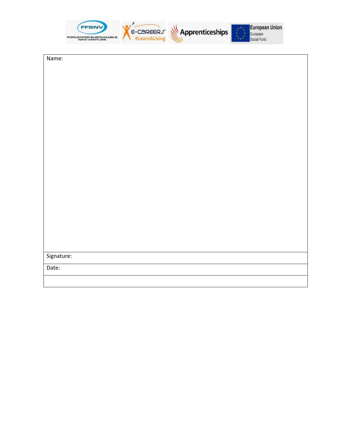| <b>NEW VENTURE</b> | E-CAREERS | Apprenticeships |  | <b>European Union</b> |
|--------------------|-----------|-----------------|--|-----------------------|
|--------------------|-----------|-----------------|--|-----------------------|

Name:

Signature:

Date: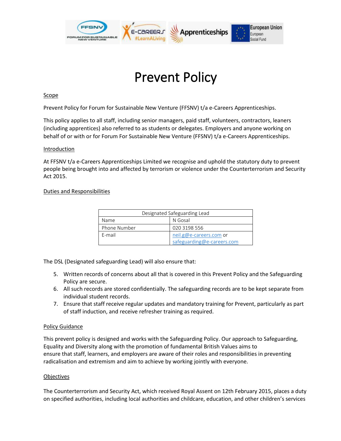

# Prevent Policy

# Scope

Prevent Policy for Forum for Sustainable New Venture (FFSNV) t/a e-Careers Apprenticeships.

This policy applies to all staff, including senior managers, paid staff, volunteers, contractors, leaners (including apprentices) also referred to as students or delegates. Employers and anyone working on behalf of or with or for Forum For Sustainable New Venture (FFSNV) t/a e-Careers Apprenticeships.

#### **Introduction**

At FFSNV t/a e-Careers Apprenticeships Limited we recognise and uphold the statutory duty to prevent people being brought into and affected by terrorism or violence under the Counterterrorism and Security Act 2015.

# Duties and Responsibilities

| Designated Safeguarding Lead |                                                       |  |
|------------------------------|-------------------------------------------------------|--|
| Name                         | N Gosal                                               |  |
| Phone Number                 | 020 3198 556                                          |  |
| F-mail                       | neil.g@e-careers.com or<br>safeguarding@e-careers.com |  |

The DSL (Designated safeguarding Lead) will also ensure that:

- 5. Written records of concerns about all that is covered in this Prevent Policy and the Safeguarding Policy are secure.
- 6. All such records are stored confidentially. The safeguarding records are to be kept separate from individual student records.
- 7. Ensure that staff receive regular updates and mandatory training for Prevent, particularly as part of staff induction, and receive refresher training as required.

#### Policy Guidance

This prevent policy is designed and works with the Safeguarding Policy. Our approach to Safeguarding, Equality and Diversity along with the promotion of fundamental British Values aims to ensure that staff, learners, and employers are aware of their roles and responsibilities in preventing radicalisation and extremism and aim to achieve by working jointly with everyone.

# **Objectives**

The Counterterrorism and Security Act, which received Royal Assent on 12th February 2015, places a duty on specified authorities, including local authorities and childcare, education, and other children's services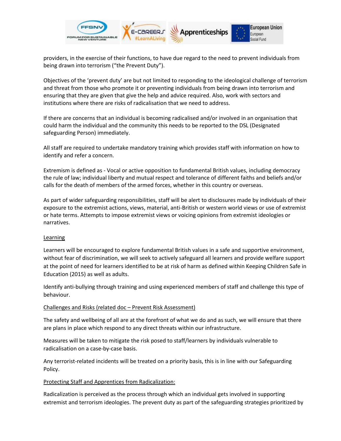

providers, in the exercise of their functions, to have due regard to the need to prevent individuals from being drawn into terrorism ("the Prevent Duty").

Objectives of the 'prevent duty' are but not limited to responding to the ideological challenge of terrorism and threat from those who promote it or preventing individuals from being drawn into terrorism and ensuring that they are given that give the help and advice required. Also, work with sectors and institutions where there are risks of radicalisation that we need to address.

If there are concerns that an individual is becoming radicalised and/or involved in an organisation that could harm the individual and the community this needs to be reported to the DSL (Designated safeguarding Person) immediately.

All staff are required to undertake mandatory training which provides staff with information on how to identify and refer a concern.

Extremism is defined as - Vocal or active opposition to fundamental British values, including democracy the rule of law; individual liberty and mutual respect and tolerance of different faiths and beliefs and/or calls for the death of members of the armed forces, whether in this country or overseas.

As part of wider safeguarding responsibilities, staff will be alert to disclosures made by individuals of their exposure to the extremist actions, views, material, anti-British or western world views or use of extremist or hate terms. Attempts to impose extremist views or voicing opinions from extremist ideologies or narratives.

# **Learning**

Learners will be encouraged to explore fundamental British values in a safe and supportive environment, without fear of discrimination, we will seek to actively safeguard all learners and provide welfare support at the point of need for learners identified to be at risk of harm as defined within Keeping Children Safe in Education (2015) as well as adults.

Identify anti-bullying through training and using experienced members of staff and challenge this type of behaviour.

# Challenges and Risks (related doc – Prevent Risk Assessment)

The safety and wellbeing of all are at the forefront of what we do and as such, we will ensure that there are plans in place which respond to any direct threats within our infrastructure.

Measures will be taken to mitigate the risk posed to staff/learners by individuals vulnerable to radicalisation on a case-by-case basis.

Any terrorist-related incidents will be treated on a priority basis, this is in line with our Safeguarding Policy.

# Protecting Staff and Apprentices from Radicalization:

Radicalization is perceived as the process through which an individual gets involved in supporting extremist and terrorism ideologies. The prevent duty as part of the safeguarding strategies prioritized by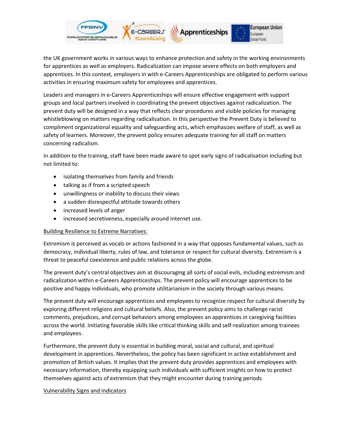

the UK government works in various ways to enhance protection and safety in the working environments for apprentices as well as employers. Radicalization can impose severe effects on both employers and apprentices. In this context, employers in with e-Careers Apprenticeships are obligated to perform various activities in ensuring maximum safety for employees and apprentices.

Leaders and managers in e-Careers Apprenticeships will ensure effective engagement with support groups and local partners involved in coordinating the prevent objectives against radicalization. The prevent duty will be designed in a way that reflects clear procedures and visible policies for managing whistleblowing on matters regarding radicalisation. In this perspective the Prevent Duty is believed to compliment organizational equality and safeguarding acts, which emphasizes welfare of staff, as well as safety of learners. Moreover, the prevent policy ensures adequate training for all staff on matters concerning radicalism.

In addition to the training, staff have been made aware to spot early signs of radicalisation including but not limited to:

- isolating themselves from family and friends
- talking as if from a scripted speech
- unwillingness or inability to discuss their views
- a sudden disrespectful attitude towards others
- increased levels of anger
- increased secretiveness, especially around internet use.

# Building Resilience to Extreme Narratives:

Extremism is perceived as vocals or actions fashioned in a way that opposes fundamental values, such as democracy, individual liberty, rules of law, and tolerance or respect for cultural diversity. Extremism is a threat to peaceful coexistence and public relations across the globe.

The prevent duty's central objectives aim at discouraging all sorts of social evils, including extremism and radicalization within e-Careers Apprenticeships. The prevent policy will encourage apprentices to be positive and happy individuals, who promote utilitarianism in the society through various means.

The prevent duty will encourage apprentices and employees to recognize respect for cultural diversity by exploring different religions and cultural beliefs. Also, the prevent policy aims to challenge racist comments, prejudices, and corrupt behaviors among employees an apprentices in caregiving facilities across the world. Initiating favorable skills like critical thinking skills and self-realization among trainees and employees.

Furthermore, the prevent duty is essential in building moral, social and cultural, and spiritual development in apprentices. Nevertheless, the policy has been significant in active establishment and promotion of British values. It implies that the prevent duty provides apprentices and employees with necessary information, thereby equipping such individuals with sufficient insights on how to protect themselves against acts of extremism that they might encounter during training periods

# Vulnerability Signs and Indicators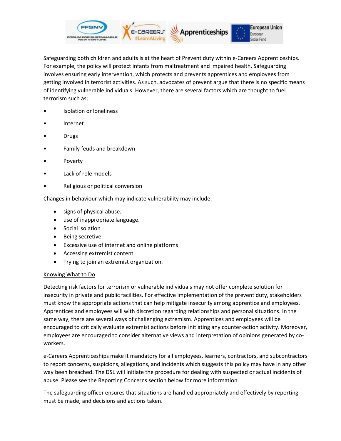

Safeguarding both children and adults is at the heart of Prevent duty within e-Careers Apprenticeships. For example, the policy will protect infants from maltreatment and impaired health. Safeguarding involves ensuring early intervention, which protects and prevents apprentices and employees from getting involved in terrorist activities. As such, advocates of prevent argue that there is no specific means of identifying vulnerable individuals. However, there are several factors which are thought to fuel terrorism such as;

- Isolation or loneliness
- Internet
- Drugs
- Family feuds and breakdown
- Poverty
- Lack of role models
- Religious or political conversion

Changes in behaviour which may indicate vulnerability may include:

- signs of physical abuse.
- use of inappropriate language.
- Social isolation
- Being secretive
- Excessive use of internet and online platforms
- Accessing extremist content
- Trying to join an extremist organization.

#### Knowing What to Do

Detecting risk factors for terrorism or vulnerable individuals may not offer complete solution for insecurity in private and public facilities. For effective implementation of the prevent duty, stakeholders must know the appropriate actions that can help mitigate insecurity among apprentice and employees. Apprentices and employees will with discretion regarding relationships and personal situations. In the same way, there are several ways of challenging extremism. Apprentices and employees will be encouraged to critically evaluate extremist actions before initiating any counter-action activity. Moreover, employees are encouraged to consider alternative views and interpretation of opinions generated by coworkers.

e-Careers Apprenticeships make it mandatory for all employees, learners, contractors, and subcontractors to report concerns, suspicions, allegations, and incidents which suggests this policy may have in any other way been breached. The DSL will initiate the procedure for dealing with suspected or actual incidents of abuse. Please see the Reporting Concerns section below for more information.

The safeguarding officer ensures that situations are handled appropriately and effectively by reporting must be made, and decisions and actions taken.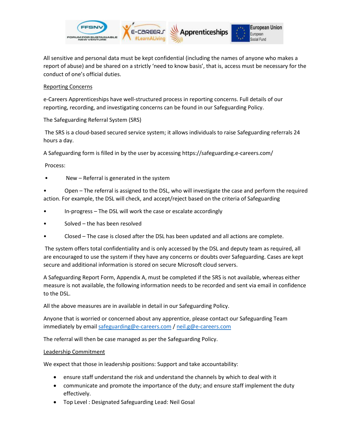

All sensitive and personal data must be kept confidential (including the names of anyone who makes a report of abuse) and be shared on a strictly 'need to know basis', that is, access must be necessary for the conduct of one's official duties.

# Reporting Concerns

e-Careers Apprenticeships have well-structured process in reporting concerns. Full details of our reporting, recording, and investigating concerns can be found in our Safeguarding Policy.

The Safeguarding Referral System (SRS)

The SRS is a cloud-based secured service system; it allows individuals to raise Safeguarding referrals 24 hours a day.

A Safeguarding form is filled in by the user by accessing https://safeguarding.e-careers.com/

Process:

New - Referral is generated in the system

• Open – The referral is assigned to the DSL, who will investigate the case and perform the required action. For example, the DSL will check, and accept/reject based on the criteria of Safeguarding

- In-progress The DSL will work the case or escalate accordingly
- Solved the has been resolved
- Closed The case is closed after the DSL has been updated and all actions are complete.

The system offers total confidentiality and is only accessed by the DSL and deputy team as required, all are encouraged to use the system if they have any concerns or doubts over Safeguarding. Cases are kept secure and additional information is stored on secure Microsoft cloud servers.

A Safeguarding Report Form, Appendix A, must be completed if the SRS is not available, whereas either measure is not available, the following information needs to be recorded and sent via email in confidence to the DSL.

All the above measures are in available in detail in our Safeguarding Policy.

Anyone that is worried or concerned about any apprentice, please contact our Safeguarding Team immediately by emai[l safeguarding@e-careers.com](mailto:safeguarding@e-careers.com) / [neil.g@e-careers.com](mailto:neil.g@e-careers.com)

The referral will then be case managed as per the Safeguarding Policy.

# Leadership Commitment

We expect that those in leadership positions: Support and take accountability:

- ensure staff understand the risk and understand the channels by which to deal with it
- communicate and promote the importance of the duty; and ensure staff implement the duty effectively.
- Top Level : Designated Safeguarding Lead: Neil Gosal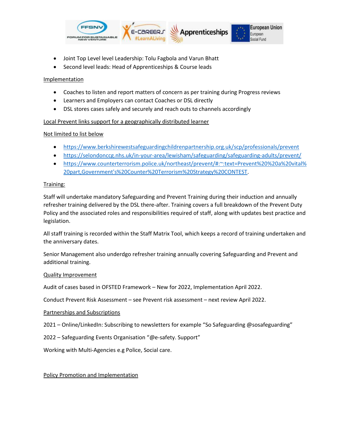

- Joint Top Level level Leadership: Tolu Fagbola and Varun Bhatt
- Second level leads: Head of Apprenticeships & Course leads

# Implementation

- Coaches to listen and report matters of concern as per training during Progress reviews
- Learners and Employers can contact Coaches or DSL directly
- DSL stores cases safely and securely and reach outs to channels accordingly

# Local Prevent links support for a geographically distributed learner

# Not limited to list below

- <https://www.berkshirewestsafeguardingchildrenpartnership.org.uk/scp/professionals/prevent>
- <https://selondonccg.nhs.uk/in-your-area/lewisham/safeguarding/safeguarding-adults/prevent/>
- [https://www.counterterrorism.police.uk/northeast/prevent/#:~:text=Prevent%20%20a%20vital%](https://www.counterterrorism.police.uk/northeast/prevent/#:~:text=Prevent%20%20a%20vital%20part,Government) [20part,Government's%20Counter%20Terrorism%20Strategy%20CONTEST.](https://www.counterterrorism.police.uk/northeast/prevent/#:~:text=Prevent%20%20a%20vital%20part,Government)

# Training:

Staff will undertake mandatory Safeguarding and Prevent Training during their induction and annually refresher training delivered by the DSL there-after. Training covers a full breakdown of the Prevent Duty Policy and the associated roles and responsibilities required of staff, along with updates best practice and legislation.

All staff training is recorded within the Staff Matrix Tool, which keeps a record of training undertaken and the anniversary dates.

Senior Management also underdgo refresher training annually covering Safeguarding and Prevent and additional training.

# Quality Improvement

Audit of cases based in OFSTED Framework – New for 2022, Implementation April 2022.

Conduct Prevent Risk Assessment – see Prevent risk assessment – next review April 2022.

# Partnerships and Subscriptions

2021 – Online/LinkedIn: Subscribing to newsletters for example "So Safeguarding @sosafeguarding"

2022 – Safeguarding Events Organisation "@e-safety. Support"

Working with Multi-Agencies e.g Police, Social care.

# Policy Promotion and Implementation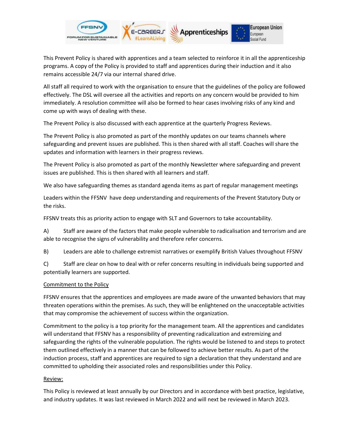

This Prevent Policy is shared with apprentices and a team selected to reinforce it in all the apprenticeship programs. A copy of the Policy is provided to staff and apprentices during their induction and it also remains accessible 24/7 via our internal shared drive.

All staff all required to work with the organisation to ensure that the guidelines of the policy are followed effectively. The DSL will oversee all the activities and reports on any concern would be provided to him immediately. A resolution committee will also be formed to hear cases involving risks of any kind and come up with ways of dealing with these.

The Prevent Policy is also discussed with each apprentice at the quarterly Progress Reviews.

The Prevent Policy is also promoted as part of the monthly updates on our teams channels where safeguarding and prevent issues are published. This is then shared with all staff. Coaches will share the updates and information with learners in their progress reviews.

The Prevent Policy is also promoted as part of the monthly Newsletter where safeguarding and prevent issues are published. This is then shared with all learners and staff.

We also have safeguarding themes as standard agenda items as part of regular management meetings

Leaders within the FFSNV have deep understanding and requirements of the Prevent Statutory Duty or the risks.

FFSNV treats this as priority action to engage with SLT and Governors to take accountability.

A) Staff are aware of the factors that make people vulnerable to radicalisation and terrorism and are able to recognise the signs of vulnerability and therefore refer concerns.

B) Leaders are able to challenge extremist narratives or exemplify British Values throughout FFSNV

C) Staff are clear on how to deal with or refer concerns resulting in individuals being supported and potentially learners are supported.

# Commitment to the Policy

FFSNV ensures that the apprentices and employees are made aware of the unwanted behaviors that may threaten operations within the premises. As such, they will be enlightened on the unacceptable activities that may compromise the achievement of success within the organization.

Commitment to the policy is a top priority for the management team. All the apprentices and candidates will understand that FFSNV has a responsibility of preventing radicalization and extremizing and safeguarding the rights of the vulnerable population. The rights would be listened to and steps to protect them outlined effectively in a manner that can be followed to achieve better results. As part of the induction process, staff and apprentices are required to sign a declaration that they understand and are committed to upholding their associated roles and responsibilities under this Policy.

# Review:

This Policy is reviewed at least annually by our Directors and in accordance with best practice, legislative, and industry updates. It was last reviewed in March 2022 and will next be reviewed in March 2023.